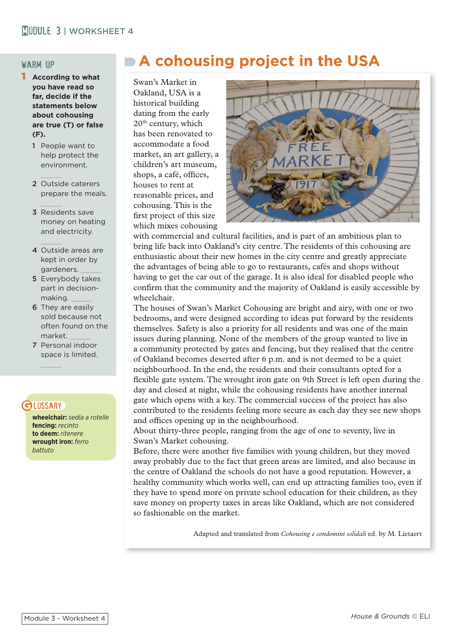### warm up

- 1 **According to what you have read so far, decide if the statements below about cohousing are true (T) or false (F).** 
	- 1 People want to help protect the environment.
	- 2 Outside caterers prepare the meals.
	- 3 Residents save money on heating and electricity.
	- 4 Outside areas are kept in order by gardeners.
	- 5 Everybody takes part in decisionmaking. \_\_\_\_\_
	- 6 They are easily sold because not often found on the market. \_\_\_\_\_
	- 7 Personal indoor space is limited.

## **GI DSSARY**

**wheelchair:** *sedia a rotelle* **fencing:** *recinto* **to deem:** *ritenere* **wrought iron:** *ferro battuto*

# **A cohousing project in the USA**

Swan's Market in Oakland, USA is a historical building dating from the early 20th century, which has been renovated to accommodate a food market, an art gallery, a children's art museum, shops, a café, offices, houses to rent at reasonable prices, and cohousing. This is the first project of this size which mixes cohousing



with commercial and cultural facilities, and is part of an ambitious plan to bring life back into Oakland's city centre. The residents of this cohousing are enthusiastic about their new homes in the city centre and greatly appreciate the advantages of being able to go to restaurants, cafés and shops without having to get the car out of the garage. It is also ideal for disabled people who confirm that the community and the majority of Oakland is easily accessible by wheelchair.

The houses of Swan's Market Cohousing are bright and airy, with one or two bedrooms, and were designed according to ideas put forward by the residents themselves. Safety is also a priority for all residents and was one of the main issues during planning. None of the members of the group wanted to live in a community protected by gates and fencing, but they realised that the centre of Oakland becomes deserted after 6 p.m. and is not deemed to be a quiet neighbourhood. In the end, the residents and their consultants opted for a flexible gate system. The wrought iron gate on 9th Street is left open during the day and closed at night, while the cohousing residents have another internal gate which opens with a key. The commercial success of the project has also contributed to the residents feeling more secure as each day they see new shops and offices opening up in the neighbourhood.

About thirty-three people, ranging from the age of one to seventy, live in Swan's Market cohousing.

Before, there were another five families with young children, but they moved away probably due to the fact that green areas are limited, and also because in the centre of Oakland the schools do not have a good reputation. However, a healthy community which works well, can end up attracting families too, even if they have to spend more on private school education for their children, as they save money on property taxes in areas like Oakland, which are not considered so fashionable on the market.

Adapted and translated from *Cohousing e condomini solidali* ed. by M. Lietaert